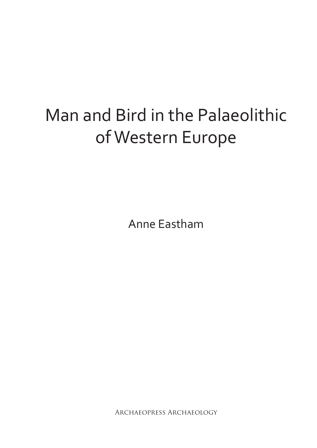# Man and Bird in the Palaeolithic of Western Europe

Anne Eastham

Archaeopress Archaeology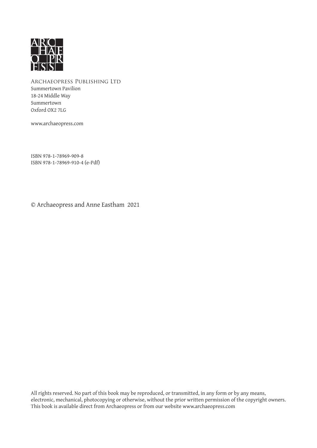

Archaeopress Publishing Ltd Summertown Pavilion 18-24 Middle Way Summertown Oxford OX2 7LG

www.archaeopress.com

ISBN 978-1-78969-909-8 ISBN 978-1-78969-910-4 (e-Pdf)

© Archaeopress and Anne Eastham 2021

All rights reserved. No part of this book may be reproduced, or transmitted, in any form or by any means, electronic, mechanical, photocopying or otherwise, without the prior written permission of the copyright owners. This book is available direct from Archaeopress or from our website www.archaeopress.com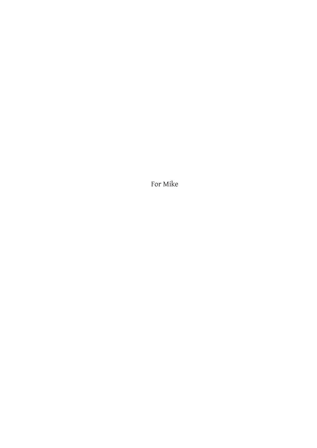For Mike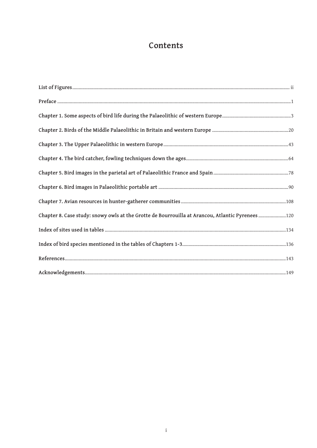# Contents

| Chapter 8. Case study: snowy owls at the Grotte de Bourrouilla at Arancou, Atlantic Pyrenees120 |  |
|-------------------------------------------------------------------------------------------------|--|
|                                                                                                 |  |
|                                                                                                 |  |
|                                                                                                 |  |
|                                                                                                 |  |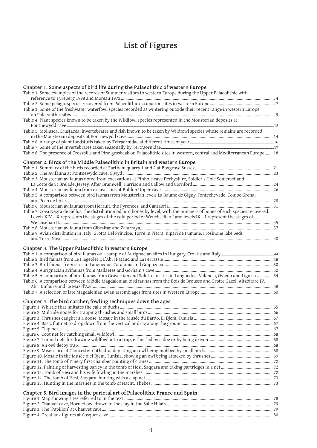# **List of Figures**

| Chapter 1. Some aspects of bird life during the Palaeolithic of western Europe                                                         |  |
|----------------------------------------------------------------------------------------------------------------------------------------|--|
| Table 1. Some examples of the records of Summer visitors to western Europe during the Upper Palaeolithic with                          |  |
|                                                                                                                                        |  |
| Table 3. Some of the freshwater waterfowl species recorded as wintering outside their recent range in western Europe                   |  |
| Table 4. Plant species known to be taken by the Wildfowl species represented in the Mousterian deposits at                             |  |
| Table 5. Mollusca, Crustacea, invertebrates and fish known to be taken by Wildfowl species whose remains are recorded                  |  |
|                                                                                                                                        |  |
|                                                                                                                                        |  |
|                                                                                                                                        |  |
| Table 8. The presence of Crossbills and Pine grosbeak on Palaeolithic sites in western, central and Mediterranean Europe 18            |  |
| Chapter 2. Birds of the Middle Palaeolithic in Britain and western Europe                                                              |  |
|                                                                                                                                        |  |
|                                                                                                                                        |  |
| Table 3. Mousterian avifaunas noted from excavations at Pinhole cave Derbyshire, Soldier's Hole Somerset and                           |  |
|                                                                                                                                        |  |
|                                                                                                                                        |  |
| Table 5. A comparison between bird faunas from Mousterian levels La Baume de Gigny, Fontechevade, Combe Grenal                         |  |
|                                                                                                                                        |  |
| Table 7. Cova Negra de Bellus; the distribution od bird bones by level, with the numbers of bones of each species recovered.           |  |
| Levels XIV - X represents the stages of the cold period of Weuchselian I and levels IX - I represent the stages of                     |  |
|                                                                                                                                        |  |
|                                                                                                                                        |  |
| Table 9. Avian distribution in Italy: Grotta Del Principe, Torre in Pietra, Ripari de Fumane, Frosinone lake beds                      |  |
|                                                                                                                                        |  |
| Chapter 3. The Upper Palaeolithic in western Europe                                                                                    |  |
| Table 1. A comparison of bird faunas on a sample of Aurignacian sites in Hungary, Croatia and Italy…………………………………………………………………………………………… |  |
|                                                                                                                                        |  |
|                                                                                                                                        |  |
|                                                                                                                                        |  |
| Table 5. A comparison of bird faunas from Gravettian and Solutrean sites in Languedoc, Valencia, Oviedo and Liguria  54                |  |
| Table 6. A comparison between Middle Magdalenian bird faunas from the Bois de Brousse and Grotte Gazel, Aitzbitare IV,                 |  |
|                                                                                                                                        |  |
|                                                                                                                                        |  |
| Chapter 4. The bird catcher, fowling techniques down the ages                                                                          |  |
|                                                                                                                                        |  |
|                                                                                                                                        |  |
|                                                                                                                                        |  |
|                                                                                                                                        |  |
|                                                                                                                                        |  |
|                                                                                                                                        |  |
|                                                                                                                                        |  |
|                                                                                                                                        |  |
|                                                                                                                                        |  |
|                                                                                                                                        |  |
| Figure 12. Painting of harvesting barley in the tomb of Hesi, Saqqara and taking partridges in a net………………………………………………………………………………………… |  |
|                                                                                                                                        |  |
|                                                                                                                                        |  |
|                                                                                                                                        |  |
| Chapter 5. Bird images in the parietal art of Palaeolithic France and Spain                                                            |  |
|                                                                                                                                        |  |
|                                                                                                                                        |  |
|                                                                                                                                        |  |

ii

Figure 4. Great auk figures at Cosquer cave.................................................................................................................................................. 80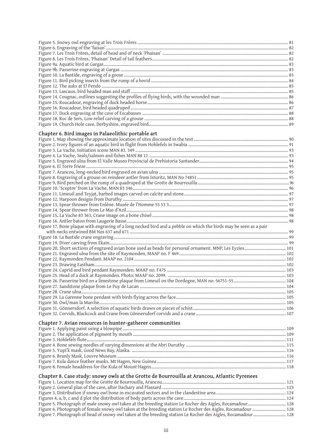| Chapter 6. Bird images in Palaeolithic portable art                                                                                                                                                                       |  |
|---------------------------------------------------------------------------------------------------------------------------------------------------------------------------------------------------------------------------|--|
|                                                                                                                                                                                                                           |  |
|                                                                                                                                                                                                                           |  |
|                                                                                                                                                                                                                           |  |
|                                                                                                                                                                                                                           |  |
|                                                                                                                                                                                                                           |  |
|                                                                                                                                                                                                                           |  |
|                                                                                                                                                                                                                           |  |
|                                                                                                                                                                                                                           |  |
|                                                                                                                                                                                                                           |  |
|                                                                                                                                                                                                                           |  |
|                                                                                                                                                                                                                           |  |
|                                                                                                                                                                                                                           |  |
|                                                                                                                                                                                                                           |  |
|                                                                                                                                                                                                                           |  |
|                                                                                                                                                                                                                           |  |
| Figure 17. Bone plaque with engraving of a long necked bird and a pebble on which the birds may be seen as a pair                                                                                                         |  |
|                                                                                                                                                                                                                           |  |
|                                                                                                                                                                                                                           |  |
| Figure 20. Short sections of engraved avian bone used as beads for personal ornament. MNP, Les Eyzies 101                                                                                                                 |  |
|                                                                                                                                                                                                                           |  |
|                                                                                                                                                                                                                           |  |
|                                                                                                                                                                                                                           |  |
|                                                                                                                                                                                                                           |  |
|                                                                                                                                                                                                                           |  |
|                                                                                                                                                                                                                           |  |
|                                                                                                                                                                                                                           |  |
|                                                                                                                                                                                                                           |  |
|                                                                                                                                                                                                                           |  |
|                                                                                                                                                                                                                           |  |
|                                                                                                                                                                                                                           |  |
|                                                                                                                                                                                                                           |  |
|                                                                                                                                                                                                                           |  |
|                                                                                                                                                                                                                           |  |
| Chapter 7. Avian resources in hunter-gatherer communities                                                                                                                                                                 |  |
|                                                                                                                                                                                                                           |  |
|                                                                                                                                                                                                                           |  |
|                                                                                                                                                                                                                           |  |
|                                                                                                                                                                                                                           |  |
|                                                                                                                                                                                                                           |  |
|                                                                                                                                                                                                                           |  |
|                                                                                                                                                                                                                           |  |
|                                                                                                                                                                                                                           |  |
| Chapter 8. Case study: snowy owls at the Grotte de Bourrouilla at Arancou, Atlantic Pyrenees                                                                                                                              |  |
|                                                                                                                                                                                                                           |  |
|                                                                                                                                                                                                                           |  |
|                                                                                                                                                                                                                           |  |
| Figure 5. Photograph of male snowy owl taken at the breeding station Le Rocher des Aigles, Rocamadour 128<br>Figure 6. Photograph of female snowy owl taken at the breeding station Le Rocher des Aigles, Rocamadour  128 |  |

Figure 7. Photograph of head of snowy owl taken at the breeding station Le Rocher des Aigles, Rocamadour............................. 128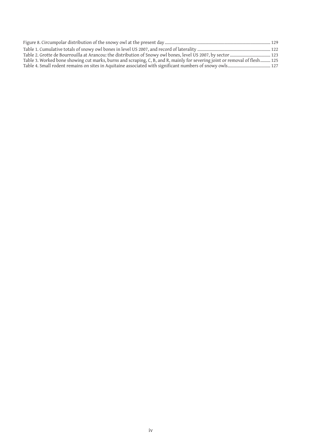| Table 2. Grotte de Bourrouilla at Arancou: the distribution of Snowy owl bones, level US 2007, by sector  123              |  |
|----------------------------------------------------------------------------------------------------------------------------|--|
| Table 3. Worked bone showing cut marks, burns and scraping, C, B, and R, mainly for severing joint or removal of flesh 125 |  |
|                                                                                                                            |  |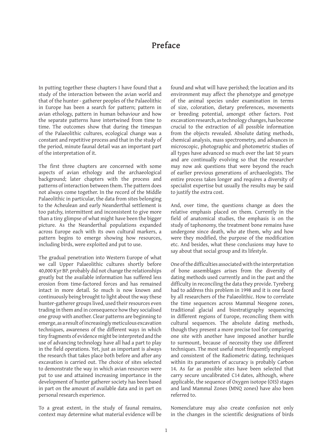### **Preface**

In putting together these chapters I have found that a study of the interaction between the avian world and that of the hunter - gatherer peoples of the Palaeolithic in Europe has been a search for pattern; pattern in avian ethology, pattern in human behaviour and how the separate patterns have intertwined from time to time. The outcomes show that during the timespan of the Palaeolithic cultures, ecological change was a constant and repetitive process and that in the study of the period, minute faunal detail was an important part of the interpretation of it.

The first three chapters are concerned with some aspects of avian ethology and the archaeological background; later chapters with the process and patterns of interaction between them. The pattern does not always come together. In the record of the Middle Palaeolithic in particular, the data from sites belonging to the Acheulean and early Neanderthal settlement is too patchy, intermittent and inconsistent to give more than a tiny glimpse of what might have been the bigger picture. As the Neanderthal populations expanded across Europe each with its own cultural markers, a pattern begins to emerge showing how resources, including birds, were exploited and put to use.

The gradual penetration into Western Europe of what we call Upper Palaeolithic cultures shortly before 40,000 Kyr BP. probably did not change the relationships greatly but the available information has suffered less erosion from time-factored forces and has remained intact in more detail. So much is now known and continuously being brought to light about the way these hunter-gatherer groups lived, used their resources even trading in them and in consequence how they socialised one group with another. Clear patterns are beginning to emerge, as a result of increasingly meticulous excavation techniques, awareness of the different ways in which tiny fragments of evidence might be interpreted and the use of advancing technology have all had a part to play in the field operations. Yet, just as important is always the research that takes place both before and after any excavation is carried out. The choice of sites selected to demonstrate the way in which avian resources were put to use and attained increasing importance in the development of hunter gatherer society has been based in part on the amount of available data and in part on personal research experience.

To a great extent, in the study of faunal remains, context may determine what material evidence will be

found and what will have perished; the location and its environment may affect the phenotype and genotype of the animal species under examination in terms of size, coloration, dietary preferences, movements or breeding potential, amongst other factors. Post excavation research, as technology changes, has become crucial to the extraction of all possible information from the objects revealed. Absolute dating methods, chemical analysis, mass spectrometry, and advances in microscopic, photographic and photometric studies of all types have advanced so much over the last 50 years and are continually evolving so that the researcher may now ask questions that were beyond the reach of earlier previous generations of archaeologists. The entire process takes longer and requires a diversity of specialist expertise but usually the results may be said to justify the extra cost.

And, over time, the questions change as does the relative emphasis placed on them. Currently in the field of anatomical studies, the emphasis is on the study of taphonomy, the treatment bone remains have undergone since death, who ate them, why and how were they modified, the purpose of the modification etc. And besides, what these conclusions may have to say about that social group and its lifestyle.

One of the difficulties associated with the interpretation of bone assemblages arises from the diversity of dating methods used currently and in the past and the difficulty in reconciling the data they provide. Tyreberg had to address this problem in 1998 and it is one faced by all researchers of the Palaeolithic. How to correlate the time sequences across Mammal Neogene zones, traditional glacial and biostratigraphy sequencing in different regions of Europe, reconciling them with cultural sequences. The absolute dating methods, though they present a more precise tool for comparing one site with another have imposed another hurdle to surmount, because of necessity they use different techniques. The most useful most frequently employed and consistent of the Radiometric dating, techniques within its parameters of accuracy is probably Carbon 14. As far as possible sites have been selected that carry secure uncalibrated C14 dates, although, where applicable, the sequence of Oxygen isotope (OIS) stages and land Mammal Zones (MNQ zones) have also been referred to.

Nomenclature may also create confusion not only in the changes in the scientific designations of birds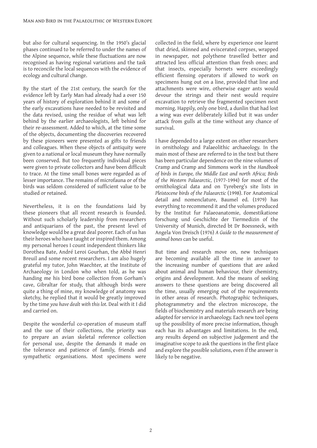but also for cultural sequencing. In the 1950's glacial phases continued to be referred to under the names of the Alpine sequence, while these fluctuations are now recognised as having regional variations and the task is to reconcile the local sequences with the evidence of ecology and cultural change.

By the start of the 21st century, the search for the evidence left by Early Man had already had a over 150 years of history of exploration behind it and some of the early excavations have needed to be revisited and the data revised, using the residue of what was left behind by the earlier archaeologists, left behind for their re-assessment. Added to which, at the time some of the objects, documenting the discoveries recovered by these pioneers were presented as gifts to friends and colleagues. When these objects of antiquity were given to a national or local museum they have normally been conserved. But too frequently individual pieces were given to private collectors and have been difficult to trace. At the time small bones were regarded as of lesser importance. The remains of microfauna or of the birds was seldom considered of sufficient value to be studied or retained.

Nevertheless, it is on the foundations laid by these pioneers that all recent research is founded. Without such scholarly leadership from researchers and antiquarians of the past, the present level of knowledge would be a great deal poorer. Each of us has their heroes who have taught or inspired them. Among my personal heroes I count independent thinkers like Dorothea Bate, André Leroi Gourhan, the Abbé Henri Breuil and some recent researchers. I am also hugely grateful my tutor, John Waechter, at the Institute of Archaeology in London who when told, as he was handing me his bird bone collection from Gorham's cave, Gibraltar for study, that although birds were quite a thing of mine, my knowledge of anatomy was sketchy, he replied that it would be greatly improved by the time *you have dealt with this lot.* Deal with it I did and carried on.

Despite the wonderful co-operation of museum staff and the use of their collections, the priority was to prepare an avian skeletal reference collection for personal use, despite the demands it made on the tolerance and patience of family, friends and sympathetic organisations. Most specimens were

collected in the field, where by experience one learnt that dried, skinned and eviscerated corpses, wrapped in newspaper, not polythene travelled better and attracted less official attention than fresh ones; and that insects, especially hornets were exceedingly efficient flensing operators if allowed to work on specimens hung out on a line, provided that line and attachments were wire, otherwise eager ants would devour the strings and their nest would require excavation to retrieve the fragmented specimen next morning. Happily, only one bird, a dunlin that had lost a wing was ever deliberately killed but it was under attack from gulls at the time without any chance of survival.

I have depended to a large extent on other researchers in ornithology and Palaeolithic archaeology. In the main most of these are referred to in the text but there has been particular dependence on the nine volumes of Cramp and Cramp and Simmons work in the *Handbook of birds in Europe, the Middle East and north Africa; Birds of the Western Palaearctic, (*1977-1994) for most of the ornithological data and on Tyreberg's site lists in *Pleistocene birds of the Palaearctic* (1998). For Anatomical detail and nomenclature, Baumel ed. (1979) has everything to recommend it and the volumes produced by the Institut fur Palaeoanatomie, domestikatione forschung und Geschichte der Tiermedizin of the University of Munich, directed bt Dr Boessneck, with Angela Von Dreisch (1976) *A Guide to the measurement of animal bones* can be useful.

But time and research move on, new techniques are becoming available all the time in answer to the increasing number of questions that are asked about animal and human behaviour, their chemistry, origins and development. And the means of seeking answers to these questions are being discovered all the time, usually emerging out of the requirements in other areas of research. Photographic techniques, photogrammetry and the electron microscope, the fields of biochemistry and materials research are being adapted for service in archaeology. Each new tool opens up the possibility of more precise information, though each has its advantages and limitations. In the end, any results depend on subjective judgement and the imaginative scope to ask the questions in the first place and explore the possible solutions, even if the answer is likely to be negative.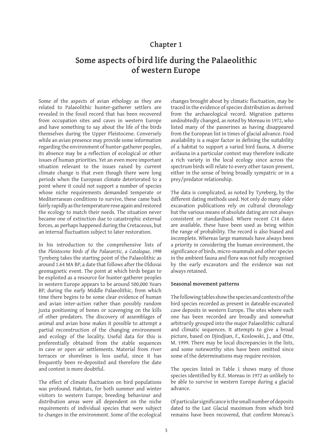#### **Chapter 1**

# **Some aspects of bird life during the Palaeolithic of western Europe**

Some of the aspects of avian ethology as they are related to Palaeolithic hunter-gatherer settlers are revealed in the fossil record that has been recovered from occupation sites and caves in western Europe and have something to say about the life of the birds themselves during the Upper Pleistocene. Conversely while an avian presence may provide some information regarding the environment of hunter-gatherer peoples, its absence may be a reflection of ecological or other issues of human priorities. Yet an even more important situation relevant to the issues raised by current climate change is that even though there were long periods when the European climate deteriorated to a point where it could not support a number of species whose niche requirements demanded temperate or Mediterranean conditions to survive, these came back fairly rapidly as the temperature rose again and restored the ecology to match their needs. The situation never became one of extinction due to catastrophic external forces, as perhaps happened during the Cretaceous, but an internal fluctuation subject to later restoration.

In his introduction to the comprehensive lists of the *Pleistocene birds of the Palaearctic, a Catalogue, 1998*  Tyreberg takes the starting point of the Palaeolithic as around 1.64 MA BP, a date that follows after the Olduvai geomagnetic event. The point at which birds began to be exploited as a resource for hunter-gatherer peoples in western Europe appears to be around 500,000 Years BP, during the early Middle Palaeolithic, from which time there begins to be some clear evidence of human and avian inter-action rather than possibly random juxta positioning of bones or scavenging on the kills of other predators. The discovery of assemblages of animal and avian bone makes it possible to attempt a partial reconstruction of the changing environment and ecology of the locality. Useful data for this is preferentially obtained from the stable sequences in cave or open air settlements. Material from river terraces or shorelines is less useful, since it has frequently been re-deposited and therefore the date and context is more doubtful.

The effect of climate fluctuation on bird populations was profound. Habitats, for both summer and winter visitors to western Europe, breeding behaviour and distribution areas were all dependent on the niche requirements of individual species that were subject to changes in the environment. Some of the ecological

changes brought about by climatic fluctuation, may be traced in the evidence of species distribution as derived from the archaeological record. Migration patterns undoubtedly changed, as noted by Moreau in 1972, who listed many of the passerines as having disappeared from the European list in times of glacial advance. Food availability is a major factor in defining the suitability of a habitat to support a varied bird fauna, A diverse avifauna in a particular context may therefore indicate a rich variety in the local ecology since across the spectrum birds will relate to every other taxon present, either in the sense of being broadly sympatric or in a prey/predator relationship.

The data is complicated, as noted by Tyreberg, by the different dating methods used. Not only do many older excavation publications rely on cultural chronology but the various means of absolute dating are not always consistent or standardised. Where recent C14 dates are available, these have been used as being within the range of probability. The record is also biased and incomplete. Whereas large mammals have always been a priority in considering the human environment, the significance of birds, micro-mammals and other species in the ambient fauna and flora was not fully recognised by the early excavators and the evidence was not always retained.

#### **Seasonal movement patterns**

The following tables show the species and contexts of the bird species recorded as present in dateable excavated cave deposits in western Europe. The sites where each one has been recorded are broadly and somewhat arbitrarily grouped into the major Palaeolithic cultural and climatic sequences. It attempts to give a broad picture, based on Djindjian, F., Koslowski, J., and Otte, M. 1999. There may be local discrepancies in the lists, and some noteworthy sites have been omitted since some of the determinations may require revision.

The species listed in Table 1 shows many of those species identified by R.E. Moreau in 1972 as unlikely to be able to survive in western Europe during a glacial advance.

Of particular significance is the small number of deposits dated to the Last Glacial maximum from which bird remains have been recovered, that confirm Moreau's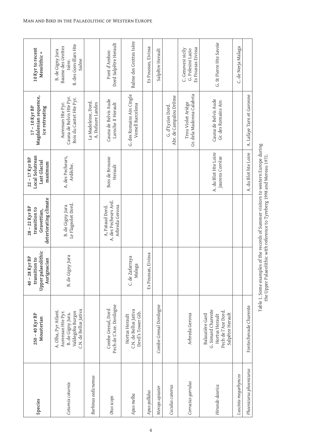| Man and Bird in the Palaeolithic of Western Europe |
|----------------------------------------------------|
|----------------------------------------------------|

| Species                    | $250 - 40$ Kyr BP<br>Mousterian                                                                             | Upper palaeolithic<br>$40 - 28$ Kyr BP<br>transition to<br>Aurignacian | deteriorating climate<br>$28 - 22$ Kyr BP<br>transition to<br>Gravettian, | Local Solutrean<br>$22 - 17$ Kyr BP<br>Last Glacial<br>maximum | Magdalenian sequence,<br>$17 - 10$ Kyr BP<br>ice retreating              | 10 Kyr to recent<br>Mesolithic <                                                  |
|----------------------------|-------------------------------------------------------------------------------------------------------------|------------------------------------------------------------------------|---------------------------------------------------------------------------|----------------------------------------------------------------|--------------------------------------------------------------------------|-----------------------------------------------------------------------------------|
| Coturnix coturnix          | C.N. de Bellus Jativa<br>A. Olha, Pyr Atlant.<br>Valdegoba Burgos<br>Aurensan Hte Pyr.<br>B. de Gigny Jura. | B. de Gigny Jura                                                       | Le Flageolet Dord.<br>B. de Gigny Jura                                    | A. des Pecheurs,<br>Ardêche.                                   | Cauna de Belvis Hte Pyr.<br>Bois du Cantet Hte Pyr.<br>Aurensan Hte Pyr. | B. des Gonvillars Hte<br>Baume des Grottes<br>B. de Gigny Jura<br>Saône<br>Isère. |
| <b>Burhinus</b> oedicnemus |                                                                                                             |                                                                        |                                                                           |                                                                | La Madeleine, Dord.<br>A. Dufaure Landes                                 |                                                                                   |
| Otus scops                 | Pech de L'Aze. Dordogne<br>Combe Grenal, Dord                                                               |                                                                        | A. des Pecheurs Ard.<br>Arbreda Gerona<br>A, Pataud Dord.                 | Bois de Brousse<br>Herault                                     | Cauna de Belvis Aude<br>Laroche II Herault                               | Dord Salpêtre Herault<br>Pont d'Ambon                                             |
| Apus melba                 | C.N. de Bellus Jativa<br>Devil's Tower Gib.<br>Hortus Herault                                               | C. de Zafarraya<br>Malaga                                              |                                                                           |                                                                | G. des Romains Ain Cingle<br>Vemell Barcelona                            | Balme des Grottes Isère                                                           |
| Apus pallidus              |                                                                                                             | Es Poussas, Eivissa                                                    |                                                                           |                                                                |                                                                          | Es Poussas, Eivissa                                                               |
| Merops apiaster            | Combe Grenal Dordogne                                                                                       |                                                                        |                                                                           |                                                                |                                                                          | Salpêtre Herault                                                                  |
| Cuculus canorus            |                                                                                                             |                                                                        |                                                                           |                                                                | Abr. de Campalou Drôme<br>G. d'Eyzies Dord.                              |                                                                                   |
| Corracias garrulus         | Arbreda Gerona                                                                                              |                                                                        |                                                                           |                                                                | Gr. dela Madonna Calabria<br>Trou Violet Ariège                          | Es Poussas Eivissa<br>C. Genovesi sicily<br>G. Polesini Lazio                     |
| Hirundo daurica            | G. Simard Charente<br>Pech de l'Aze Dord.<br>Salpêtre Herault<br>Balauzière Gard<br>Hortus Herault          |                                                                        |                                                                           | A. du Blot Hte Loire<br>Jaurens Corrèze                        | Cauna de Belvis Aude<br>Gr. des Romains Ain                              | G. St Pierre Hte Savoie                                                           |
| Luscinia megarhyncos       |                                                                                                             |                                                                        |                                                                           |                                                                |                                                                          | C. de Nerja Malaga                                                                |
| Phoenicurus phoenicurus    | Fontechevade Charente                                                                                       |                                                                        |                                                                           | A. du Blot hte Loire                                           | A. Lafaye Tarn et Garonne                                                |                                                                                   |

Table 1. Some examples of the records of Summer visitors to western Europe during<br>the Upper Palaeolithic with reference to Tyreberg 1998 and Moreau 1972. Table 1. Some examples of the records of Summer visitors to western Europe during the Upper Palaeolithic with reference to Tyreberg 1998 and Moreau 1972.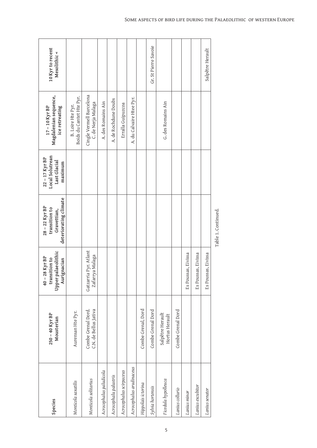| Species                  | $250 - 40$ Kyr BP<br>Mousterian             | Upper palaeolithic<br>$40 - 28$ Kyr BP<br>transition to<br>Aurignacian | deteriorating climate<br>$28 - 22$ Kyr BP<br>transition to<br>Gravettian, | Local Solutrean<br>$22 - 17$ Kyr BP<br>Last Glacial<br>maximum | Magdalenian sequence,<br>$17 - 10$ Kyr BP<br>ice retreating | 10 Kyr to recent<br>Mesolithic < |
|--------------------------|---------------------------------------------|------------------------------------------------------------------------|---------------------------------------------------------------------------|----------------------------------------------------------------|-------------------------------------------------------------|----------------------------------|
| Monticola saxatilis      | Aurensan Hte Pyr.                           |                                                                        |                                                                           |                                                                | Boids du Cantet Hte Pyr.<br>B. Loire Hte Pyr.               |                                  |
| Monticola solitarius     | C.N. de Bellus Jativa<br>Combe Grenal Dord. | Gatzarria Pyr. Atlant<br>Zafarrya Malaga                               |                                                                           |                                                                | Cingle Vermell Barcelona<br>C. de Nerja Malaga              |                                  |
| Acrocephalus paludicola  |                                             |                                                                        |                                                                           |                                                                | A. des Romains Ain                                          |                                  |
| Acrocephalu palustris    |                                             |                                                                        |                                                                           |                                                                | A. de Rochdune Doubs                                        |                                  |
| Acrocephalus scirpaceus  |                                             |                                                                        |                                                                           |                                                                | Erralla Guipuzcoa                                           |                                  |
| Acrocephalus arudinaceus |                                             |                                                                        |                                                                           |                                                                | A. du Calvaire Htee Pyr.                                    |                                  |
| Hippolais icterina       | Combe Grenal, Dord                          |                                                                        |                                                                           |                                                                |                                                             |                                  |
| Sylvia hortensis         | Combe Grenal Dord                           |                                                                        |                                                                           |                                                                |                                                             | Gr. St Pierre Savoie             |
| Ficedula hypolleuca      | Salpêtre Herault<br>Hortus Herault          |                                                                        |                                                                           |                                                                | G. des Romains Ain                                          |                                  |
| Lanius collurio          | Combe Grenal Dord                           |                                                                        |                                                                           |                                                                |                                                             |                                  |
| Lanius minor             |                                             | Es Poussas, Eivissa                                                    |                                                                           |                                                                |                                                             |                                  |
| Lanius excubitor         |                                             | Es Poussas, Eivissa                                                    |                                                                           |                                                                |                                                             |                                  |
| Lanius senator           |                                             | Es Poussas, Eivissa                                                    |                                                                           |                                                                |                                                             | Salpêtre Herault                 |

| ţ |  |
|---|--|
|   |  |
|   |  |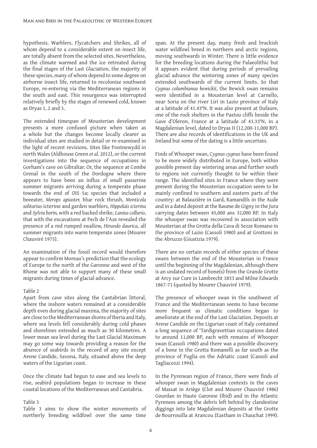hypothesis. Warblers, Flycatchers and Shrikes, all of whom depend to a considerable extent on insect life, are totally absent from the selected sites. Nevertheless, as the climate warmed and the ice retreated during the final stages of the Last Glaciation, the majority of these species, many of whom depend to some degree on airborne insect life, returned to recolonise southwest Europe, re-entering via the Mediterranean regions in the south and east. This resurgence was interrupted relatively briefly by the stages of renewed cold, known as Dryas 1, 2 and 3.

The extended timespan of Mousterian development presents a more confused picture when taken as a whole but the changes become locally clearer as individual sites are studied in detail or re-examined in the light of recent revisions. Sites like Pontnewydd in north Wales (Aldhouse Green *et al.* 2012), or the current investigations into the sequence of occupations in Gorham's cave on Gibraltar. Or, the sequence at Combe Grenal in the south of the Dordogne where there appears to have been an influx of small passerine summer migrants arriving during a temperate phase towards the end of OIS 5a; species that included a beeeater, *Merops apiaster,* blue rock thrush, *Monticola solitarius* icterine and garden warblers, *Hippolais icterina* and *Sylvia borin,* with a red backed shrike, *Lanius collurio*, that with the excavations at Pech de l'Aze revealed the presence of a red rumped swallow, *Hirundo daurica*, all summer migrants into warm temperate zones (Mourer Chauviré 1975).

An examination of the fossil record would therefore appear to confirm Moreau's prediction that the ecology of Europe to the north of the Garonne and west of the Rhone was not able to support many of these small migrants during times of glacial advance.

#### Table 2

Apart from cave sites along the Cantabrian littoral, where the inshore waters remained at a considerable depth even during glacial maxima, the majority of sites are close to the Mediterranean shores of Iberia and Italy, where sea levels fell considerably during cold phases and shorelines extended as much as 30 kilometres. A lower mean sea level during the Last Glacial Maximum may go some way towards providing a reason for the absence of seabirds in the record of any site except Arene Candide, Savona, Italy, situated above the deep waters of the Ligurian coast.

Once the climate had begun to ease and sea levels to rise, seabird populations began to increase in these coastal locations of the Mediterranean and Cantabria.

#### Table 3

Table 3 aims to show the winter movements of northerly breeding wildfowl over the same time span. At the present day, many fresh and brackish water wildfowl breed in northern and arctic regions, moving southwards in Winter. There is little evidence for the breeding locations during the Palaeolithic but it appears evident that during periods of prevailing glacial advance the wintering zones of many species extended southwards of the current limits. So that *Cygnus columbianus bewickii*, the Bewick swan remains were identified in a Mousterian level at Carnello, near Soria on the river Liri in Lazio province of Italy at a latitude of 41.430 N. It was also present at Dufaure, one of the rock shelters in the Pastou cliffs beside the Gave d'Oleron, France at a latitude of 43.33°N, in a Magdalenian level, dated to Dryas II (12,200-11,000 BP). There are also records of identifications in the UK and Ireland but some of the dating is a little uncertain.

Finds of Whooper swan, C*ygnus cygnus* have been found to be more widely distributed in Europe, both within possible present day wintering areas and further south to regions not currently thought to be within their range. The identified sites in France where they were present during the Mousterian occupation seem to be mainly confined to southern and eastern parts of the country: at Balauzière in Gard, Ramandils in the Aude and in a dated deposit at the Baume de Gigny in the Jura carrying dates between 45,000 ans 32,000 BP. In Italy the whooper swan was recovered in association with Mousterian at the Grotta della Cava di Sezze Romano in the province of Lazio (Cassoli 1980) and at Grottoni in the Abruzzo (Giustizia 1979).

There are no certain records of either species of these swans between the end of the Mousterian in France until the beginning of the Magdalenian, although there is an undated record of bone(s) from the Grande Grotte at Arcy sur Cure in Lambrecht 1833 and Milne Edwards 1867-71 (quoted by Mourer Chauviré 1979).

The presence of whooper swan in the southwest of France and the Mediterranean seems to have become more frequent as climatic conditions began to ameliorate at the end of the Last Glaciation. Deposits at Arene Candide on the Ligurian coast of Italy contained a long sequence of 'Tardigravettian occupations dated to around 11,000 BP, each with remains of Whooper swan (Cassoli 1980) and there was a possible discovery of a bone in the Grotta Romanelli as far south as the province of Puglia on the Adriatic coast (Cassoli and Tagliacozzi 1994).

In the Pyrenean region of France, there were finds of whooper swan in Magdalenian contexts in the caves of Massat in Ariège (Clot and Mourer Chauviré 1986) Gourdan in Haute Garonne (Ibid) and in the Atlantic Pyrenees among the debris left behind by clandestine diggings into late Magdalenian deposits at the Grotte de Bourrouilla at Arancou (Eastham in Chauchat 1999).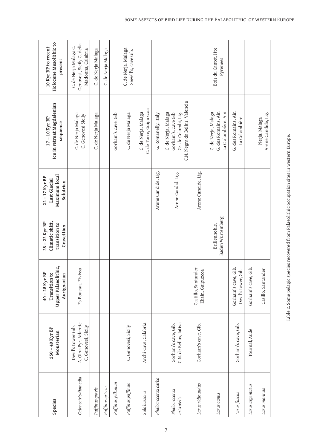| Species                      | $250 - 40$ Kyr BP<br>Mousterian                                    | Upper Palaeolithic,<br>$40 - 28$ Kyr BP<br>Transition to<br>Aurignacian | Climatic shift,<br>28 - 22 Kyr BP<br>transition to<br>Gravettian | Maximum local<br>$22 - 17$ Kyr BP<br>Last Glacial<br>Solutrian | Ice in retreat Magdalenian<br>$17 - 10$ Kyr BP<br>sequence                                           | Holocene Mesolithic to<br>10 Kyr BP to recent<br>present                |
|------------------------------|--------------------------------------------------------------------|-------------------------------------------------------------------------|------------------------------------------------------------------|----------------------------------------------------------------|------------------------------------------------------------------------------------------------------|-------------------------------------------------------------------------|
| Calonectris diomedia         | A. Olha Pyr. Atlantic<br>C. Genovesi, Sicily<br>Devil's tower Gib. | Es Poussas, Eivissa                                                     |                                                                  |                                                                | C. de Nerja Malaga<br>C. Genovesi Sicily                                                             | Genovesi, Sicily G. della<br>C. de Nerja Malaga C.<br>Madonna, Calabria |
| Puffinus gravis              |                                                                    |                                                                         |                                                                  |                                                                | C. de Nerja Malaga                                                                                   | C. de Nerja Malaga                                                      |
| Puffinus griseus             |                                                                    |                                                                         |                                                                  |                                                                |                                                                                                      | C. de Nerja Malaga                                                      |
| Puffinus yelkouan            |                                                                    |                                                                         |                                                                  |                                                                | Gorham's cave, Gib.                                                                                  |                                                                         |
| Puffinus puffinus            | C. Genovesi, Sicily                                                |                                                                         |                                                                  |                                                                | C. de Nerja Malaga                                                                                   | C. de Nerja, Malaga<br>Sewell's, cave Gib.                              |
| Sula bassana                 | Archi Cave, Calabria                                               |                                                                         |                                                                  |                                                                | C. de Torre, Guipuxcoa<br>C. de Nerja, Malaga                                                        |                                                                         |
| Phalocrocorax carbo          |                                                                    |                                                                         |                                                                  | Arene Candide, Lig.                                            | G. Romanelly, Italy                                                                                  |                                                                         |
| Phalocrocorax<br>aristotelis | C.N. de Bellus, Jativa<br>Gorham's cave, Gib.                      |                                                                         |                                                                  | Arene Candid, Lig.                                             | C.N. Negra de Bellus, Valencia<br>C. de Nerja, Malaga<br>Gorham's, cave Gib.<br>Gr. de Colombi, Lig. |                                                                         |
| Larus ridibundus             | Gorham's cave, Gib.                                                | Castillo, Santander<br>Ekain, Guipuzcoa                                 |                                                                  | Arene Candide, Lig.                                            |                                                                                                      |                                                                         |
| Larus canus                  |                                                                    |                                                                         | Baden Wurtemberg<br>Brillenhohle,                                |                                                                | G. des Romains, Ain<br>C. de Nerja, Malaga<br>La C olombière, Ain                                    | Bois du Cantet, Hte<br>Pyrenees                                         |
| Larus fuscus                 | Gorham's cave, Gib.                                                | Gorham's cave, Gib.<br>Devil's tower, Gib.                              |                                                                  |                                                                | G. des Romains, Ain<br>La Colombière                                                                 |                                                                         |
| Larus argentatus             | Tournal, Aude                                                      | Gorham's cave, Gib.                                                     |                                                                  |                                                                |                                                                                                      |                                                                         |
| Larus marinus                |                                                                    | Casillo, Santander                                                      |                                                                  |                                                                | Arene Candide, Lig.<br>Nerja, Malaga                                                                 |                                                                         |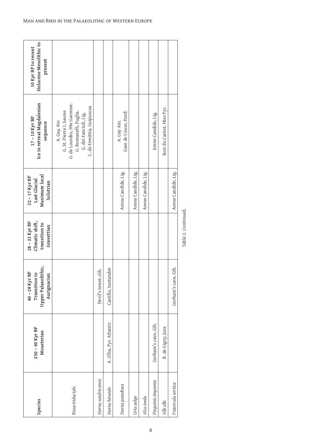| Species             | $250 - 40$ Kyr BP<br>Mousterian | Upper Palaeolithic,<br>$40 - 28$ Kyr BP<br>Transition to<br>Aurignacian | Climatic shift,<br>28 - 22 Kyr BP<br>transition to<br>Gravettian | Maximum local<br>22-17 Kyr BP<br>Last Glacial<br>Solutrian | Ice in retreat Magdalenian<br>$17 - 10$ Kyr BP<br>sequence                                                                                           | Holocene Mesolithic to<br>10 Kyr BP to recent<br>present |
|---------------------|---------------------------------|-------------------------------------------------------------------------|------------------------------------------------------------------|------------------------------------------------------------|------------------------------------------------------------------------------------------------------------------------------------------------------|----------------------------------------------------------|
| Rissa tridactyla    |                                 |                                                                         |                                                                  |                                                            | G. de Lourdes, Hte Garonne.<br>C. de Ermittia, Guipuzcoa<br>G. St. Pierre I, Savoie<br>G. Romanelli, Puglia.<br>G. dei Fanciuli, Lig.<br>A. Gay, Ain |                                                          |
| Sterna sandvicensis |                                 | Devil's tower, Gib.                                                     |                                                                  |                                                            |                                                                                                                                                      |                                                          |
| Sterna hirundo      | A. Olha, Pyr. Atlantic          | Castillo, Santander                                                     |                                                                  |                                                            |                                                                                                                                                      |                                                          |
| Sterna paradisea    |                                 |                                                                         |                                                                  | Arene Candide, Lig.                                        | Gare de Couze, Dord.<br>A. Gay Ain.                                                                                                                  |                                                          |
| Uria aalge          |                                 |                                                                         |                                                                  | Arene Candide, Lig.                                        |                                                                                                                                                      |                                                          |
| Alca torda          |                                 |                                                                         |                                                                  | Arene Candide, Lig.                                        |                                                                                                                                                      |                                                          |
| Pinguinis impennis  | Gorham's cave, Gib.             |                                                                         |                                                                  |                                                            | Arene Candide, Lig.                                                                                                                                  |                                                          |
| Alle alle           | B. de Gigny, Jura               |                                                                         |                                                                  |                                                            | Bois du Cantet, Htes Pyr.                                                                                                                            |                                                          |
| Fratercula arctica  |                                 | Gorham's cave, Gib.                                                     |                                                                  | Arene Candide, Lig.                                        |                                                                                                                                                      |                                                          |
|                     |                                 |                                                                         |                                                                  |                                                            |                                                                                                                                                      |                                                          |

Table 2. Continued. Table 2. Continued.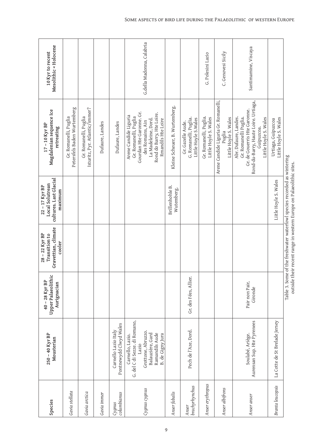| Species                 | $250 - 40$ Kyr BP<br>Mousterian                                                                                                            | Upper Palaeolithic<br>$40 - 28$ Kyr BP<br>Aurignacian | Gravettian, climate<br>$28 - 22$ Kyr BP<br>Transition to<br>cooler | cultures. Last Glacial<br>Local Solutrean<br>22-17 Kyr BP<br>maximum                                                                           | Magdalenian sequence Ice<br>$17 - 10$ Kyr BP<br>retreating                                                                                                               | Mesolithic < Holocene<br>10 Kyr to recent |
|-------------------------|--------------------------------------------------------------------------------------------------------------------------------------------|-------------------------------------------------------|--------------------------------------------------------------------|------------------------------------------------------------------------------------------------------------------------------------------------|--------------------------------------------------------------------------------------------------------------------------------------------------------------------------|-------------------------------------------|
| Gavia stellata          |                                                                                                                                            |                                                       |                                                                    |                                                                                                                                                | Petersfels Baden Wurtemberg<br>Gr. Romanelli, Puglia                                                                                                                     |                                           |
| Gavia arctica           |                                                                                                                                            |                                                       |                                                                    |                                                                                                                                                | Isturitz, Pyr. Atlantic/immer?<br>Gr. Romanelli, Puglia                                                                                                                  |                                           |
| Gavia immer             |                                                                                                                                            |                                                       |                                                                    |                                                                                                                                                | Dufaure, Landes                                                                                                                                                          |                                           |
| columbianus<br>Cygnus   | Pontnewydd Clwyd Wales<br>Carnello Lazio Italy                                                                                             |                                                       |                                                                    |                                                                                                                                                | Dufaure, Landes                                                                                                                                                          |                                           |
| Cygnus cygnus           | G. del C di Sezze. di Romano,<br>Grottone, Abruzzo.<br>Ramandils Aude<br>Balauzière, Gard<br>B. de Gigny Jura<br>Carnello, Lazio.<br>Lazio |                                                       |                                                                    |                                                                                                                                                | Gourdan Hte Garonne. Gr.<br>Rond do Barry, Hte Loire.<br>Arene Candide Liguria<br>Gr. Romanelli, Puglia<br>La Madeleine, Dord.<br>Rmandils Hte Loire<br>des Romains, Ain | G.della Madonna, Calabria                 |
| Anser fabalis           |                                                                                                                                            |                                                       |                                                                    | Brillenhohle B.<br>Wutemberg.                                                                                                                  | Kleine Scheuer, B. Wurtemberg.                                                                                                                                           |                                           |
| brachyrhynchus<br>Anser | Pech de l'Aze, Dord.                                                                                                                       | Gr. des Fées, Allier.                                 |                                                                    |                                                                                                                                                | G. Romanelli, Puglia.<br>Little Hoyle S. Wales<br>Gr. Gazelle Aude.                                                                                                      |                                           |
| Anser erythropus        |                                                                                                                                            |                                                       |                                                                    |                                                                                                                                                | Gr. Romanelli, Puglia.<br>Little Hoyle S. Wales                                                                                                                          | G. Polesini Lazio                         |
| Anser albifrons         |                                                                                                                                            |                                                       |                                                                    |                                                                                                                                                | Arene Candide Liguria Gr. Romanelli,<br>Little Hoyle S. Wales<br>Puglia                                                                                                  | C. Genovesi Sicily                        |
| Anser anser             | Aurensan Sup. Hte Pyrenees<br>Soulabé, Ariège.                                                                                             | Pair non Pair,<br>Gironde                             |                                                                    |                                                                                                                                                | Rond-du-Barry, Haute Loire. Urtiaga,<br>Gr. de Gouerris Hte Garonne.<br>Abr. Dufaure, Landes.<br>Gr. Romanelli Puglia.<br>Little Hoyle S. Wales<br>Guipuzcoa.            | Santimamine, Viscaya                      |
| <b>Branta</b> leucopsis | La Cotte de St Brelade Jersey                                                                                                              |                                                       |                                                                    | Liitle Hoyle S. Wales                                                                                                                          | Little Hoyle S. Wales<br>Urtiaga, Guipuzcoa                                                                                                                              |                                           |
|                         |                                                                                                                                            |                                                       |                                                                    | Table 3. Some of the freshwater waterfowl species recorded as wintering<br>outside their recent range in western Europe on Palaeolithic sites. |                                                                                                                                                                          |                                           |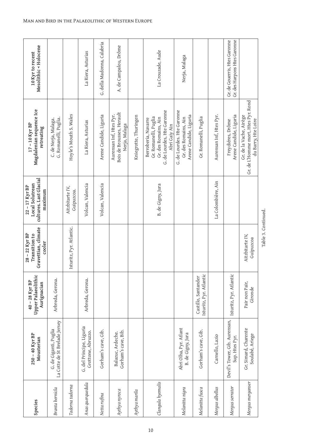| Mesolithic < Holocene<br>10 Kyr to recent                                |                                                        |                               | La Riera, Asturias                             | G. della Madonna, Calabria | A. de Campalou, Drôme                                                 |                       | La Crouzade, Aude                                                                                                   | Nerja, Malaga                                                                |                                                |                         | Gr. des Harpons Htes Garonne<br>Gr. de Gouerris, Htes Garonne |                                                                                       |                     |
|--------------------------------------------------------------------------|--------------------------------------------------------|-------------------------------|------------------------------------------------|----------------------------|-----------------------------------------------------------------------|-----------------------|---------------------------------------------------------------------------------------------------------------------|------------------------------------------------------------------------------|------------------------------------------------|-------------------------|---------------------------------------------------------------|---------------------------------------------------------------------------------------|---------------------|
| Magdalenian sequence Ice<br>$17 - 10$ Kyr BP<br>retreating               | G. Romanelli, Puglia.<br>C. de Nerja, Malaga.          | Hoyle's Mouth S. Wales        | La Riera, Asturias                             | Arene Candide, Liguria     | Bois de Brousses, Herault<br>Aurensan Inf, Htes Pyr.<br>Nerja, Malaga | Kniegrotte, Thuringen | G. de Lourdes, Hte Garonne<br>Gr. Romanelli, Puglia<br>Gr. des Romains, Ain<br>Berroberia, Navarre<br>Abri Gaiy Ain | G. de Lourdes. Hte Garonne<br>Arene Candide, Liguria<br>Gr. des Romains, Ain | Gr. Romanelli, Puglia                          | Aurensan Inf, Htes Pyr. | Arene Candide, Liguria<br>Freydiéres, Drôme                   | Gr. de L'Homme mort, Htes Pyr. Rond<br>Gr. de la Vache, Airège<br>du Barry, Hte Loire |                     |
| cultures. Last Glacial<br>Local Solutrean<br>$22 - 17$ Kyr BP<br>maximum |                                                        | Aitzbitarte IV,<br>Guipuzcoa. | Volcan, Valencia                               | Volcan, Valencia           |                                                                       |                       | B. de Gigny, Jura                                                                                                   |                                                                              |                                                | La Colombière, Ain      |                                                               |                                                                                       |                     |
| Gravettian, climate<br>$28 - 22$ Kyr BP<br>Transition to<br>cooler       |                                                        | Isturitz, Pyr. Atlantic.      |                                                |                            |                                                                       |                       |                                                                                                                     |                                                                              |                                                |                         |                                                               | Aitzbitarte IV,<br>Guipuzcoa                                                          | Table 3. Continued. |
| Upper Palaeolithic<br>$40 - 28$ Kyr BP<br>Aurignacian                    | Arbreda, Gerona.                                       |                               | Arbreda, Gerona.                               |                            |                                                                       |                       |                                                                                                                     |                                                                              | Isturitz, Pyr. Atlantic<br>Castillo, Santander |                         | Isturitz, Pyr. Atlantic                                       | Pair non Pair<br>Gironde                                                              |                     |
| $250 - 40$ Kyr BP<br>Mousterian                                          | La Cotte de St Brelade Jersey<br>G. de Giganti, Puglia |                               | G. del Principe, Liguria<br>Grottone, Abruzzo. | Gorham's cave, Gib.        | Gorham's cave, Bib.<br>Balazuc, Ardeche.                              |                       |                                                                                                                     | Abri Olha, Pyr. Atlant<br>B. de Gigny, Jura                                  | Gorham's cave, Gib.                            | Carnello, Lazio         | Devil's Tower, Gib. Aurensan,<br>Sup. Htes Pyr.               | Gr. Simard, Charente<br>Soulabé, Ariege                                               |                     |
| Species                                                                  | Branta bernicla                                        | Tadorna tadorna               | Anas querquedula                               | Netta rufina               | Aythya nyroca                                                         | Aythya marila         | Clangula hyemalis                                                                                                   | Melanitta nigra                                                              | Melanitta fusca                                | Mergus albellus         | Mergus serrator                                               | Mergus merganser                                                                      |                     |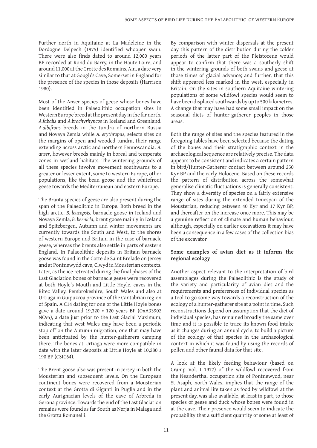Further north in Aquitaine at La Madeleine in the Dordogne Delpech (1975) identified whooper swan. There were also finds dated to around 12,000 years BP recorded at Rond du Barry, in the Haute Loire, and around 11,000 at the Grotte des Romains, Ain. a date very similar to that at Gough's Cave, Somerset in England for the presence of the species in those deposits (Harrison 1980).

Most of the Anser species of geese whose bones have been identified in Palaeolithic occupation sites in Western Europe breed at the present day in the far north*: A.fabalis* and *A.brachyrhyncos* in Iceland and Greenland. *A.albifrons* breeds in the tundra of northern Russia and Novaya Zemla while *A. erythropus*, selects sites on the margins of open and wooded tundra, their range extending across arctic and northern Fennoscandia. *A. anser*, however breeds mainly in boreal and temperate zones in wetland habitats. The wintering grounds of all these species involve movement southwards to a greater or lesser extent, some to western Europe, other populations, like the bean goose and the whitefront geese towards the Mediterranean and eastern Europe.

The Branta species of geese are also present during the span of the Palaeolithic in Europe. Both breed in the high arctic, *B. leucopsis*, barnacle goose in Iceland and Novaya Zemla*, B. bernicla*, brent goose mainly in Iceland and Spitzbergen, Autumn and winter movements are currently towards the South and West, to the shores of western Europe and Britain in the case of barnacle geese, whereas the brents also settle in parts of eastern England. In Palaeolithic deposits in Britain barnacle goose was found in the Cotte de Saint Brelade on Jersey and at Pontnewydd cave, Clwyd in Mousterian contexts. Later, as the ice retreated during the final phases of the Last Glaciation bones of barnacle geese were recovered at both Hoyle's Mouth and Little Hoyle, caves in the Ritec Valley, Pembrokeshire, South Wales and also at Urtiaga in Guipuzcoa province of the Cantabrian region of Spain. A C14 dating for one of the Little Hoyle bones gave a date around 19,320 ± 120 years BP (OxA33902 NC95), a date just prior to the Last Glacial Maximum, indicating that west Wales may have been a periodic stop off on the Autumn migration, one that may have been anticipated by the hunter-gatherers camping there. The bones at Urtiaga were more compatible in date with the later deposits at Little Hoyle at 10,280 ± 190 BP (CSIC64).

The Brent goose also was present in Jersey in both the Mousterian and subsequent levels. On the European continent bones were recovered from a Mousterian context at the Grotta di Giganti in Puglia and in the early Aurignacian levels of the cave of Arbreda in Gerona province. Towards the end of the Last Glaciation remains were found as far South as Nerja in Malaga and the Grotta Romanelli.

By comparison with winter dispersals at the present day this pattern of the distribution during the colder periods of the latter part of the Pleistocene would appear to confirm that there was a southerly shift in the wintering grounds of both swans and geese at those times of glacial advance; and further, that this shift appeared less marked in the west, especially in Britain. On the sites in southern Aquitaine wintering populations of some wildfowl species would seem to have been displaced southwards by up to 500 kilometres. A change that may have had some small impact on the seasonal diets of hunter-gatherer peoples in those areas.

Both the range of sites and the species featured in the foregoing tables have been selected because the dating of the bones and their stratigraphic context in the archaeological sequence are relatively precise. The data appears to be consistent and indicates a certain pattern in bird/Hunter-Gatherer contact between around 250 Kyr BP and the early Holocene. Based on these records the pattern of distribution across the somewhat generalise climatic fluctuations is generally consistent. They show a diversity of species on a fairly extensive range of sites during the extended timespan of the Mousterian, reducing between 40 Kyr and 17 Kyr BP, and thereafter on the increase once more. This may be a genuine reflection of climate and human behaviour, although, especially on earlier excavations it may have been a consequence in a few cases of the collection bias of the excavator.

#### **Some examples of avian diet as it informs the regional ecology**

Another aspect relevant to the interpretation of bird assemblages during the Palaeolithic is the study of the variety and particularity of avian diet and the requirements and preferences of individual species as a tool to go some way towards a reconstruction of the ecology of a hunter-gatherer site at a point in time. Such reconstructions depend on assumption that the diet of individual species, has remained broadly the same over time and it is possible to trace its known food intake as it changes during an annual cycle, to build a picture of the ecology of that species in the archaeological context in which it was found by using the records of pollen and other faunal data for that site.

A look at the likely feeding behaviour (based on Cramp Vol. I 1977) of the wildfowl recovered from the Neanderthal occupation site of Pontnewydd, near St Asaph, north Wales, implies that the range of the plant and animal life taken as food by wildfowl at the present day, was also available, at least in part, to those species of geese and duck whose bones were found in at the cave. Their presence would seem to indicate the probability that a sufficient quantity of some at least of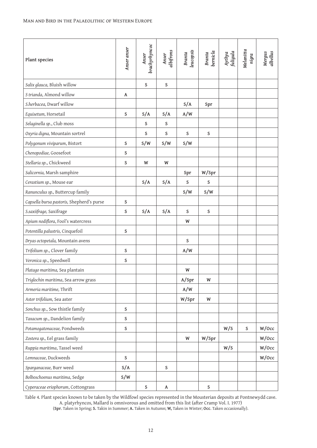| Plant species                             | Anser anser | brachyrhyncoc<br>Anser | Anser<br>albifrons | Branta<br>leucopsis | Branta<br>bernicla | Aythya<br>fuligula | Melanitta<br>nigra | Mergus<br>albellus |
|-------------------------------------------|-------------|------------------------|--------------------|---------------------|--------------------|--------------------|--------------------|--------------------|
| Salix glauca, Bluish willow               |             | $\mathsf S$            | $\mathsf S$        |                     |                    |                    |                    |                    |
| S trianda, Almond willow                  | A           |                        |                    |                     |                    |                    |                    |                    |
| S.herbacea, Dwarf willow                  |             |                        |                    | S/A                 | Spr                |                    |                    |                    |
| Equisetum, Horsetail                      | S           | S/A                    | S/A                | A/W                 |                    |                    |                    |                    |
| Selaginella sp., Club moss                |             | S                      | $\mathsf S$        |                     |                    |                    |                    |                    |
| Oxyria digna, Mountain sortrel            |             | S                      | S                  | S                   | S                  |                    |                    |                    |
| Polygonum viviparum, Bistort              | $\mathsf S$ | S/W                    | S/W                | S/W                 |                    |                    |                    |                    |
| Chenopodiae, Goosefoot                    | $\mathsf S$ |                        |                    |                     |                    |                    |                    |                    |
| Stellaria sp., Chickweed                  | $\mathsf S$ | W                      | W                  |                     |                    |                    |                    |                    |
| Salicornia, Marsh samphire                |             |                        |                    | Spr                 | W/Spr              |                    |                    |                    |
| Cerastium sp., Mouse ear                  |             | S/A                    | S/A                | S                   | S                  |                    |                    |                    |
| Ranunculus sp., Buttercup family          |             |                        |                    | S/W                 | S/W                |                    |                    |                    |
| Capsella bursa pastoris, Shepherd's purse | S           |                        |                    |                     |                    |                    |                    |                    |
| S.saxiifrage, Saxifrage                   | S           | S/A                    | S/A                | S                   | S                  |                    |                    |                    |
| Apium nodiflora, Fool's watercress        |             |                        |                    | W                   |                    |                    |                    |                    |
| Potentilla palustris, Cinquefoil          | S           |                        |                    |                     |                    |                    |                    |                    |
| Dryas octopetala, Mountain avens          |             |                        |                    | S                   |                    |                    |                    |                    |
| Trifolium sp., Clover family              | $\mathsf S$ |                        |                    | A/W                 |                    |                    |                    |                    |
| Veronica sp., Speedwell                   | $\mathsf S$ |                        |                    |                     |                    |                    |                    |                    |
| Platago maritima, Sea plantain            |             |                        |                    | W                   |                    |                    |                    |                    |
| Triglochin maritima, Sea arrow grass      |             |                        |                    | A/Spr               | W                  |                    |                    |                    |
| Armeria maritime, Thrift                  |             |                        |                    | A/W                 |                    |                    |                    |                    |
| Aster trifolium, Sea aster                |             |                        |                    | W/Spr               | W                  |                    |                    |                    |
| Sonchus sp., Sow thistle family           | $\mathsf S$ |                        |                    |                     |                    |                    |                    |                    |
| Taxacum sp., Dandelion family             | $\mathsf S$ |                        |                    |                     |                    |                    |                    |                    |
| Potamogatonaceae, Pondweeds               | $\mathsf S$ |                        |                    |                     |                    | W/S                | S                  | W/Occ              |
| Zostera sp., Eel grass family             |             |                        |                    | W                   | W/Spr              |                    |                    | W/Occ              |
| Ruppia maritima, Tassel weed              |             |                        |                    |                     |                    | W/S                |                    | W/Occ              |
| Lemnaceae, Duckweeds                      | S           |                        |                    |                     |                    |                    |                    | W/Occ              |
| Sparganaceae, Burr weed                   | S/A         |                        | $\mathsf S$        |                     |                    |                    |                    |                    |
| Bolboschoenus maritima, Sedge             | S/W         |                        |                    |                     |                    |                    |                    |                    |
| Cyperaceae eriophorum, Cottongrass        |             | $\mathsf S$            | A                  |                     | $\mathsf S$        |                    |                    |                    |

Table 4. Plant species known to be taken by the Wildfowl species represented in the Mousterian deposits at Pontnewydd cave. A. platyrhyncos, Mallard is omnivorous and omitted from this list (after Cramp Vol. I. 1977)

(**Spr**. Taken in Spring; **S.** Takin in Summer; **A.** Taken in Autumn; **W,** Taken in Winter; **Occ**. Taken occasionally).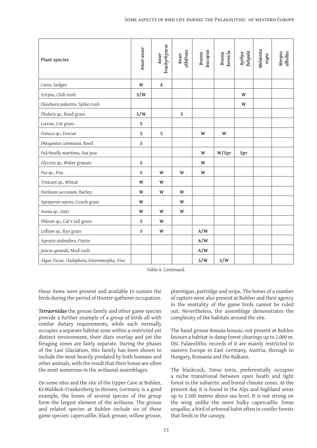| Plant species                                | Anser anser | brachyrhyncoc<br>Anser | Anser<br>albifrons | leucopsis<br>Branta | Branta<br>bernicla | Aythya<br>fuligula | Melanitta<br>nigra | Mergus<br>albellus |
|----------------------------------------------|-------------|------------------------|--------------------|---------------------|--------------------|--------------------|--------------------|--------------------|
| Carex, Sedges                                | W           | A                      |                    |                     |                    |                    |                    |                    |
| Scirpus, Club rush                           | S/W         |                        |                    |                     |                    | W                  |                    |                    |
| Eleocharis palustris, Spike rush             |             |                        |                    |                     |                    | W                  |                    |                    |
| Phalaris sp., Reed grass                     | S/W         |                        | $\mathsf S$        |                     |                    |                    |                    |                    |
| Leersia, Cut grass                           | $\mathsf S$ |                        |                    |                     |                    |                    |                    |                    |
| Festuca sp., Fescue                          | S           | S                      |                    | W                   | W                  |                    |                    |                    |
| Phragmites communis, Reed                    | S           |                        |                    |                     |                    |                    |                    |                    |
| Pulchinella maritima, Sea poa                |             |                        |                    | W                   | W/Spr              | Spr                |                    |                    |
| Glyceria sp., Water grasses                  | $\mathsf S$ |                        |                    | W                   |                    |                    |                    |                    |
| Poa sp., Poa                                 | S           | W                      | W                  | W                   |                    |                    |                    |                    |
| Triticum sp., Wheat                          | W           | W                      |                    |                     |                    |                    |                    |                    |
| Hordeum seccanum, Barley                     | W           | W                      | W                  |                     |                    |                    |                    |                    |
| Agropyron repens, Couch grass                | W           |                        | W                  |                     |                    |                    |                    |                    |
| Avena sp., Oats                              | W           | W                      | W                  |                     |                    |                    |                    |                    |
| Phleum sp., Cat's tail grass                 | S           | W                      |                    |                     |                    |                    |                    |                    |
| Lollium sp., Rye grass                       | S           | W                      |                    | A/W                 |                    |                    |                    |                    |
| Agrostis stolonifera, Fiorin                 |             |                        |                    | A/W                 |                    |                    |                    |                    |
| Juncus gerardii, Mud rush                    |             |                        |                    | A/W                 |                    |                    |                    |                    |
| Algae: Fucus. Cladophora, Enteromorpha, Viva |             |                        |                    | S/W                 | S/W                |                    |                    |                    |

Table 4. Continued.

these items were present and available to sustain the birds during the period of Hunter-gatherer occupation.

*Tetraornidae* the grouse family and other game species provide a further example of a group of birds all with similar dietary requirements, while each normally occupies a separate habitat zone within a restricted yet distinct environment, their diets overlap and yet the foraging zones are fairly separate. During the phases of the Last Glaciation, this family has been shown to include the most heavily predated by both humans and other animals, with the result that their bones are often the most numerous in the avifaunal assemblages.

On some sites and the site of the Upper Cave at Buhlen, Kr.Waldeck-Frankenberg in Hessen, Germany is a good example, the bones of several species of the group form the largest element of the avifauna. The grouse and related species at Buhlen include six of these game species: capercaillie, black grouse, willow grouse,

ptarmigan, partridge and snipe. The bones of a number of raptors were also present at Buhlen and their agency in the mortality of the game birds cannot be ruled out. Nevertheless, the assemblage demonstrates the complexity of the habitats around the site.

The hazel grouse *Bonasia bonasia*, not present at Buhlen favours a habitat in damp forest clearings up to 2,000 m. OSL Palaeolithic records of it are mainly restricted to eastern Europe in East Germany, Austria, through to Hungary, Romania and the Balkans.

The blackcock, *Tetrao tetrix*, preferentially occupies a niche transitional between open heath and light forest in the subarctic and boreal climate zones. At the present day it is found in the Alps and highland areas up to 2,500 metres above sea level. It is not strong on the wing unlike the more bulky capercaillie *Tetrao urogallus*, a bird of arboreal habit often in conifer forests that feeds in the canopy.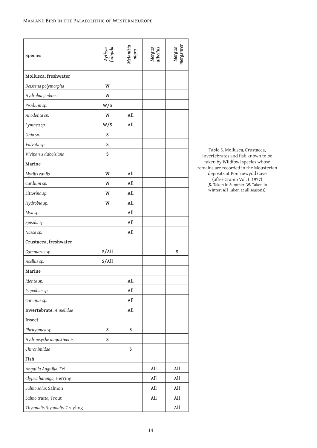| Species                       | Aythya<br>fuligula | Melanitta<br>nigra | Mergus<br>albellus | Mergus<br>mergsnser |
|-------------------------------|--------------------|--------------------|--------------------|---------------------|
| Mollusca, freshwater          |                    |                    |                    |                     |
| Deissena polymorpha           | W                  |                    |                    |                     |
| Hydrobia jenkinsi             | W                  |                    |                    |                     |
| Pisidium sp.                  | W/S                |                    |                    |                     |
| Anodonta sp.                  | W                  | All                |                    |                     |
| Lymnea sp.                    | W/S                | All                |                    |                     |
| Unio sp.                      | S                  |                    |                    |                     |
| Valvata sp.                   | S                  |                    |                    |                     |
| Viviparus duboisiana          | $\mathsf S$        |                    |                    |                     |
| Marine                        |                    |                    |                    |                     |
| Mytilis edulis                | W                  | All                |                    |                     |
| Cardium sp.                   | W                  | All                |                    |                     |
| Littorina sp.                 | W                  | All                |                    |                     |
| Hydrobia sp.                  | W                  | All                |                    |                     |
| Mya sp.                       |                    | All                |                    |                     |
| Spisula sp.                   |                    | All                |                    |                     |
| Nassa sp.                     |                    | All                |                    |                     |
| Crustacea, freshwater         |                    |                    |                    |                     |
| Gammarus sp.                  | S/All              |                    |                    | S                   |
| Asellus sp.                   | S/All              |                    |                    |                     |
| Marine                        |                    |                    |                    |                     |
| Idonta sp.                    |                    | All                |                    |                     |
| Isopodiae sp.                 |                    | All                |                    |                     |
| Carcinus sp.                  |                    | All                |                    |                     |
| Invertebrate, Annelidae       |                    | All                |                    |                     |
| Insect                        |                    |                    |                    |                     |
| Phruygmea sp.                 | S                  | S                  |                    |                     |
| Hydropsyche augustiponis      | S                  |                    |                    |                     |
| Chironimidae                  |                    | S                  |                    |                     |
| Fish                          |                    |                    |                    |                     |
| Anguilla Anguilla, Eel        |                    |                    | All                | All                 |
| Clypea harenga, Herring       |                    |                    | All                | All                 |
| Salmo salar, Salmon           |                    |                    | All                | All                 |
| Salmo trutta, Trout           |                    |                    | All                | All                 |
| Thyamalis thyamalis, Grayling |                    |                    |                    | $\mathbf{All}$      |

Table 5. Mollusca, Crustacea, invertebrates and fish known to be taken by Wildfowl species whose remains are recorded in the Mousterian deposits at Pontnewydd Cave (after Cramp Vol. I. 1977) (**S.** Taken in Summer; **W.** Taken in Winter; **All** Taken at all seasons).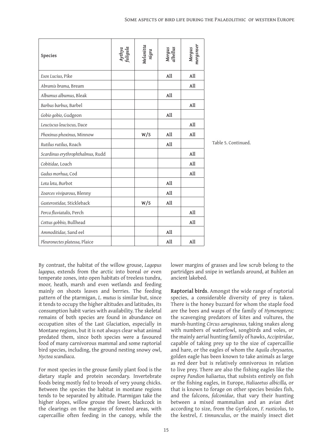| Species                          | Aythya<br>uligula | Melanitta<br>nigra | Mergus<br>albellus | Mergus<br>mergsnser |
|----------------------------------|-------------------|--------------------|--------------------|---------------------|
| Esox Lucius, Pike                |                   |                    | All                | All                 |
| Abramis brama, Bream             |                   |                    |                    | All                 |
| Albumus albumus, Bleak           |                   |                    | All                |                     |
| Barbus barbus, Barbel            |                   |                    |                    | All                 |
| Gobio gobio, Gudgeon             |                   |                    | All                |                     |
| Leuciscus leuciscus, Dace        |                   |                    |                    | A11                 |
| Phoxinus phoxinus, Minnow        |                   | W/S                | All                | All                 |
| Rutilus rutilus, Roach           |                   |                    | All                |                     |
| Scardinus erythrophthalmus, Rudd |                   |                    |                    | All                 |
| Cobitidae, Loach                 |                   |                    |                    | All                 |
| Gadus morhua, Cod                |                   |                    |                    | All                 |
| Lota lota, Burbot                |                   |                    | All                |                     |
| Zoarces viviparous, Blenny       |                   |                    | All                |                     |
| Gasterostidae, Stickleback       |                   | W/S                | All                |                     |
| Perca fluviatalis, Perch         |                   |                    |                    | All                 |
| Cottus gobbio, Bullhead          |                   |                    |                    | All                 |
| Ammoditidae, Sand eel            |                   |                    | All                |                     |
| Pleuronectes platessa, Plaice    |                   |                    | All                | All                 |

Table 5. Continued.

By contrast, the habitat of the willow grouse, *Lagopus lagopus,* extends from the arctic into boreal or even temperate zones, into open habitats of treeless tundra, moor, heath, marsh and even wetlands and feeding mainly on shoots leaves and berries. The feeding pattern of the ptarmigan, *L. mutus* is similar but, since it tends to occupy the higher altitudes and latitudes, its consumption habit varies with availability. The skeletal remains of both species are found in abundance on occupation sites of the Last Glaciation, especially in Montane regions, but it is not always clear what animal predated them, since both species were a favoured food of many carnivorous mammal and some raptorial bird species, including, the ground nesting snowy owl, *Nyctea scandiaca*.

For most species in the grouse family plant food is the dietary staple and protein secondary. Invertebrate foods being mostly fed to broods of very young chicks. Between the species the habitat in montane regions tends to be separated by altitude. Ptarmigan take the higher slopes, willow grouse the lower, blackcock in the clearings on the margins of forested areas, with capercaillie often feeding in the canopy, while the

lower margins of grasses and low scrub belong to the partridges and snipe in wetlands around, at Buhlen an ancient lakebed.

**Raptorial birds**. Amongst the wide range of raptorial species, a considerable diversity of prey is taken. There is the honey buzzard for whom the staple food are the bees and wasps of the family of *Hymenoptera;*  the scavenging predators of kites and vultures, the marsh-hunting *Circus aeruginosus,* taking snakes along with numbers of waterfowl, songbirds and voles, or the mainly aerial hunting family of hawks, *Accipitridae*, capable of taking prey up to the size of capercaillie and hare, or the eagles of whom the *Aquila chrysaetos,* golden eagle has been known to take animals as large as red deer but is relatively omnivorous in relation to live prey. There are also the fishing eagles like the osprey *Pandion haliaetus,* that subsists entirely on fish or the fishing eagles, in Europe, *Haliaeetus albicilla,* or that is known to forage on other species besides fish, and the falcons, *falconidae*, that vary their hunting between a mixed mammalian and an avian diet according to size, from the Gyrfalcon, *F. rusticolus,* to the kestrel, *F. tinnunculus*, or the mainly insect diet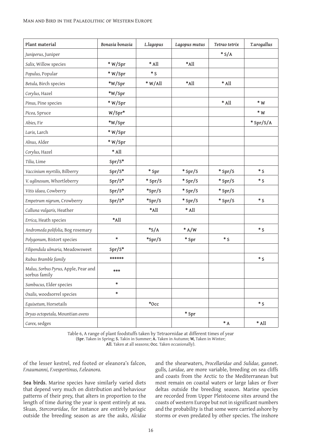| Plant material                                        | Bonasia bonasia | L.lagopus | Lagopus mutus            | Tetrao tetrix   | T.urogallus                                            |
|-------------------------------------------------------|-----------------|-----------|--------------------------|-----------------|--------------------------------------------------------|
| Juniperus, Juniper                                    |                 |           |                          | $*S/A$          |                                                        |
| Salix, Willow species                                 | *W/Spr          | $*$ All   | $*$ All                  |                 |                                                        |
| Populus, Popular                                      | *W/Spr          | $*_{S}$   |                          |                 |                                                        |
| Betula, Birch species                                 | *W/Spr          | $*$ W/All | *All                     | $*$ All         |                                                        |
| Corylus, Hazel                                        | *W/Spr          |           |                          |                 |                                                        |
| Pinus, Pine species                                   | * W/Spr         |           |                          | $*$ All         | $*$ W                                                  |
| Picea, Spruce                                         | W/Spr*          |           |                          |                 | $\ast$ M                                               |
| Abies, Fir                                            | *W/Spr          |           |                          |                 | * Spr/S/A                                              |
| Larix, Larch                                          | * W/Spr         |           |                          |                 |                                                        |
| Alnus, Alder                                          | * W/Spr         |           |                          |                 |                                                        |
| Corylus, Hazel                                        | $*$ All         |           |                          |                 |                                                        |
| Tilia, Lime                                           | $Spr/S^*$       |           |                          |                 |                                                        |
| Vaccinium myrtilis, Bilberry                          | $Spr/S^*$       | * Spr     | * Spr/S                  | * Spr/S         | $*_{S}$                                                |
| V. uglinosum, Whortleberry                            | $Spr/S^*$       | * Spr/S   | * Spr/S                  | * Spr/S         | $*_{S}$                                                |
| Vitis idaea, Cowberry                                 | $Spr/S^*$       | *Spr/S    | * Spr/S                  | * Spr/S         |                                                        |
| Empetrum nigrum, Crowberry                            | $Spr/S^*$       | *Spr/S    | * Spr/S                  | * Spr/S         | $*_{S}$                                                |
| Calluna vulgaris, Heather                             |                 | $*$ All   | $*$ All                  |                 |                                                        |
| Errica, Heath species                                 | *All            |           |                          |                 |                                                        |
| Andromeda polifolia, Bog rosemary                     |                 | $*S/A$    | $*$ A/W                  |                 | $*_{S}$                                                |
| Polygonum, Bistort species                            | $\ast$          | *Spr/S    | $\displaystyle{{}^*$ Spr | $*_{S}$         |                                                        |
| Filipendula ulmaria, Meadowsweet                      | $Spr/S^*$       |           |                          |                 |                                                        |
| Rubus Bramble family                                  | ******          |           |                          |                 | $*_{S}$                                                |
| Malus, Sorbus Pyrus, Apple, Pear and<br>sorbus family | ***             |           |                          |                 |                                                        |
| Sambucus, Elder species                               |                 |           |                          |                 |                                                        |
| Oxalis, woodsorrel species                            | $\ast$          |           |                          |                 |                                                        |
| Equisetum, Horsetails                                 |                 | $*$ Occ   |                          |                 | $*_{S}$                                                |
| Dryas octopetala, Mountian avens                      |                 |           | * Spr                    |                 |                                                        |
| Carex, sedges                                         |                 |           |                          | $\mathbf{^*}$ A | $\displaystyle{ \raisebox{0.6ex}{\scriptsize{*}}}$ All |

Table 6, A range of plant foodstuffs taken by Tetraornidae at different times of year (**Spr**. Taken in Spring; **S.** Takin in Summer; **A.** Taken in Autumn; **W,** Taken in Winter; **All**. Taken at all seasons; **Occ**. Taken occasionally).

of the lesser kestrel, red footed or eleanora's falcon, *F.naumanni, F.vespertinus, F.eleanora.*

**Sea birds**. Marine species have similarly varied diets that depend very much on distribution and behaviour patterns of their prey, that alters in proportion to the length of time during the year is spent entirely at sea. Skuas, *Stercorariidae*, for instance are entirely pelagic outside the breeding season as are the auks, *Alcidae* 

and the shearwaters, *Procellaridae a*nd *Sulidae,* gannet. gulls*, Laridae,* are more variable, breeding on sea cliffs and coasts from the Arctic to the Mediterranean but most remain on coastal waters or large lakes or fiver deltas outside the breeding season. Marine species are recorded from Upper Pleistocene sites around the coasts of western Europe but not in significant numbers and the probability is that some were carried ashore by storms or even predated by other species. The inshore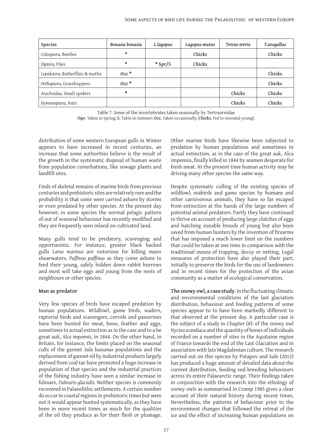| Species                         | Bonasia bonasia    | L.lagopus | Lagopus mutus | Tetrao tetrix | T.urogallus |
|---------------------------------|--------------------|-----------|---------------|---------------|-------------|
| Coleoptera, Beetles             | $\ast$             |           | Chicks        |               | Chicks      |
| Diptera, Flies                  | $\ast$             | $*$ Spr/S | Chicks        |               |             |
| Lepidotera, Butterflies & moths | $Occ$ <sup>*</sup> |           |               |               | Chicks      |
| Orthoptera, Grasshoppers        | $Occ$ <sup>*</sup> |           |               |               | Chicks      |
| Arachnidae, Small spiders       | $\ast$             |           |               | Chicks        | Chicks      |
| Hymenoptera, Ants               |                    |           |               | Chicks        | Chicks      |

Table 7. Some of the invertebrates taken seasonally by Tertraornidae

(**Spr**. Taken in Spring; **S.** Takin in Summer; **Occ**. Taken occasionally; **Chicks.** Fed to neonatal young).

distribution of some western European gulls in Winter appears to have increased in recent centuries, an increase that some authorities believe is the result of the growth in the systematic disposal of human waste from population conurbations, like sewage plants and landfill sites.

Finds of skeletal remains of marine birds from previous centuries and prehistoric sites are relatively rare and the probability is that some were carried ashore by storms or even predated by other species. At the present day however, in some species the normal pelagic pattern of out of seasonal behaviour has recently modified and they are frequently seen inland on cultivated land.

Many gulls tend to be predatory, scavenging and opportunistic. For instance, greater black backed gulls *Larus marinus* are notorious for killing manx shearwaters, *Puffinus puffinus* as they come ashore to feed their young, safely hidden down rabbit burrows and most will take eggs and young from the nests of neighbours or other species.

#### **Man as predator**

Very few species of birds have escaped predation by human populations. Wildfowl, game birds, waders, raptorial birds and scavengers, corvids and passerines have been hunted for meat, bone, feather and eggs, sometimes to actual extinction as in the case and to a he great auk, *Alca impennis*, in 1844. On the other hand, in Britain, for instance, the limits placed on the seasonal culls of the gannet *Sula bassanus* populations and the replacement of gannet oil by industrial products largely derived from coal tar have promoted a huge increase in population of that species and the industrial practices of the fishing industry have seen a similar increase in fulmars, *Fulmaris glacialis.* Neither species is commonly recovered in Palaeolithic settlements. A certain number do occur in coastal regions in prehistoric times but were not it would appear hunted systematically, as they have been in more recent times as much for the qualities of the oil they produce as for their flesh or plumage.

Other marine birds have likewise been subjected to predation by human populations and sometimes to actual extinction, as in the case of the great auk, Alca impennis, finally killed in 1844 by seamen desperate for fresh meat. At the present time human activity may be driving many other species the same way.

Despite systematic culling of the existing species of wildfowl, seabirds and game species by humans and other carnivorous animals, they have so far escaped from extinction at the hands of the large numbers of potential animal predators. Partly they have continued to thrive on account of producing large clutches of eggs and hatching sizeable broods of young but also been saved from human hunters by the invention of firearms that has imposed a much lower limit on the numbers that could be taken at one time in comparison with the traditional means of trapping, decoy or netting. Legal measures of protection have also played their part, initially to preserve the birds for the use of landowners and in recent times for the protection of the avian community as a matter of ecological conservation.

**The snowy owl, a case study**. In the fluctuating climatic and environmental conditions of the last glaciation distribution, behaviour and feeding patterns of some species appear to to have been markedly different to that observed at the present day. A particular case is the subject of a study in Chapter (8): of the snowy owl *Nyctea scandiaca* and the quantity of bones of individuals recorded on a number of sites in the Aquitaine region of France towards the end of the Last Glaciation and in association with late Magdalenian culture. The research carried out on this species by Potapov and Sale (2012) has produced a huge amount of detailed data about the current distribution, feeding snd breeding behaviours across its entire Palaearctic range. Their findings taken in conjunction with the research into the ethology of snowy owls as summarised in Cramp 1985 gives a clear account of their natural history during recent times. Nevertheless, the patterns of behaviour prior to the environment changes that followed the retreat of the ice and the effect of increasing human populations on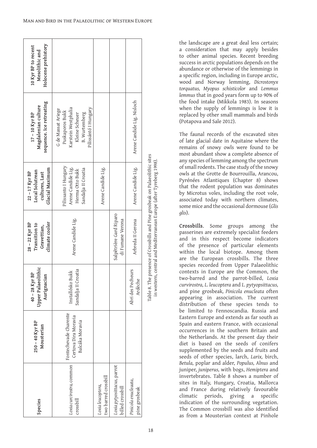| Species                                         | $250 - 40$ Kyr BP<br>Mousterian                                  | Upper Palaeolithic<br>$40 - 28$ Kyr BP<br>Aurignacian | climate cooler<br>$28 - 22$ Kyr BP<br>Transition to<br>Gravettian,          | Glacial Maximum<br>Local Solutrean<br>$22 - 17$ Kyr BP<br>cultures, Last             | sequence. Ice retreating<br>Magdalenian culture<br>$17 - 10$ Kyr BP                                                            | Holocene prehistory<br>10 Kyr BP to recent<br>Mesolithic and |
|-------------------------------------------------|------------------------------------------------------------------|-------------------------------------------------------|-----------------------------------------------------------------------------|--------------------------------------------------------------------------------------|--------------------------------------------------------------------------------------------------------------------------------|--------------------------------------------------------------|
| Loxia curcirostra, common<br>crossbill          | Fontechevade Charente<br>Certova Dira Moravia<br>Balcáka Moravia | Sandalja II Croatia<br><b>Bukk</b><br>Installósko     | Arene Candide Lig.                                                          | Pilissanto I Hungary<br>Arene Candide Lig.<br>Sandalja II Croatia<br>Herma Otto Bukk | Karstein Westphalia<br>Pilissántó I Hungary<br>G de Massat Ariege<br>Puskaporos Bukk<br><b>B.</b> Wurtemberg<br>Kleine Scheuer |                                                              |
| two barred crossbill<br>Loxia leucoptera,       |                                                                  |                                                       |                                                                             | Arene Candide Lig.                                                                   |                                                                                                                                |                                                              |
| Loxia pytyosittacus, parrot<br>billed crossbill |                                                                  |                                                       | Salpêtrière Gard Riparo<br>di Fumane Verona                                 |                                                                                      |                                                                                                                                |                                                              |
| Pinicola enucleaata,<br>pine grosbeak           |                                                                  | Abri des Pecheurs<br>Ardèche                          | Arbreda II Gerona                                                           | Arene Candide Lig.                                                                   | Arene Candide Lig. Nisloch                                                                                                     |                                                              |
|                                                 |                                                                  |                                                       | Table 8. The presence of Crossbills and Pine grosbeak on Palaeolithic sites |                                                                                      |                                                                                                                                |                                                              |

the landscape are a great deal less certain; a consideration that may apply besides to other animal species. Recent breeding success in arctic populations depends on the abundance or otherwise of the lemmings in a specific region, including in Europe arctic, wood and Norway lemming, *Dicrostonyx torquatus, Myopus schisticolor* and *Lemmus lemmus* that in good years form up to 90% of the food intake (Mikkola 1983). In seasons when the supply of lemmings is low it is replaced by other small mammals and birds (Potapova and Sale 2012).

The faunal records of the excavated sites of late glacial date in Aquitaine where the remains of snowy owls were found to be most abundant show a complete absence of any species of lemming among the spectrum of small rodents. The case study of the snowy owls at the Grotte de Bourrouilla, Arancou, Pyrénées Atlantiques (Chapter 8) shows that the rodent population was dominates by Microtus voles, including the root vole, associated today with northern climates, some mice and the occasional dormouse (*Glis glis*).

**Crossbills**. Some groups among the passerines are extremely specialist feeders and in this respect become indicators of the presence of particular elements within the local biotope. Among them are the European crossbills. The three species recorded from Upper Palaeolithic contexts in Europe are the Common, the two-barred and the parrot-billed, *Loxia curvirostra, L. leucoptera* and *L. pytyopsittacus,*  and pine grosbeak*, Pinicola enucleata* often appearing in association. The current distribution of these species tends to be limited to Fennoscandia. Russia and Eastern Europe and extends as far south as Spain and eastern France, with occasional occurrences in the southern Britain and the Netherlands. At the present day their diet is based on the seeds of conifers supplemented by the seeds and fruits and seeds of other species, larch, *Larix,* birch, *Betula,* poplar and alder, *Populus, Alnus* and juniper, *juniperus,* with bogs, *Hemiptera* and invertebrates. Table 8 shows a number of sites in Italy, Hungary, Croatia, Mallorca and France during relatively favourable climatic periods, giving a specific indication of the surrounding vegetation. The Common crossbill was also identified as from a Mousterian context at Pinhole

in western, central and Mediterranean Europe (after Tyreberg 1998).

in western, central and Mediterranean Europe (after Tyreberg 1998).